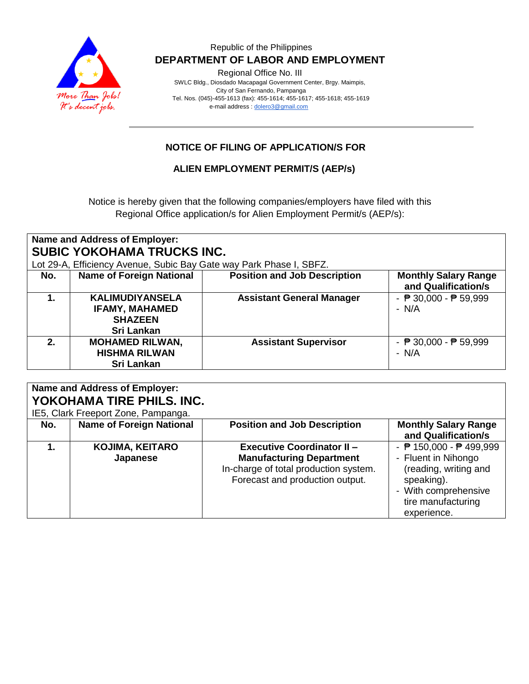

### Republic of the Philippines  **DEPARTMENT OF LABOR AND EMPLOYMENT**

Regional Office No. III

 SWLC Bldg., Diosdado Macapagal Government Center, Brgy. Maimpis, City of San Fernando, Pampanga Tel. Nos. (045)-455-1613 (fax): 455-1614; 455-1617; 455-1618; 455-1619 e-mail address [: dolero3@gmail.com](mailto:dolero3@gmail.com)

### **NOTICE OF FILING OF APPLICATION/S FOR**

### **ALIEN EMPLOYMENT PERMIT/S (AEP/s)**

Notice is hereby given that the following companies/employers have filed with this Regional Office application/s for Alien Employment Permit/s (AEP/s):

| Name and Address of Employer:<br><b>SUBIC YOKOHAMA TRUCKS INC.</b>  |                                                                                        |                                     |                                                            |  |  |  |
|---------------------------------------------------------------------|----------------------------------------------------------------------------------------|-------------------------------------|------------------------------------------------------------|--|--|--|
| Lot 29-A, Efficiency Avenue, Subic Bay Gate way Park Phase I, SBFZ. |                                                                                        |                                     |                                                            |  |  |  |
| No.                                                                 | <b>Name of Foreign National</b>                                                        | <b>Position and Job Description</b> | <b>Monthly Salary Range</b><br>and Qualification/s         |  |  |  |
| 1.                                                                  | <b>KALIMUDIYANSELA</b><br><b>IFAMY, MAHAMED</b><br><b>SHAZEEN</b><br><b>Sri Lankan</b> | <b>Assistant General Manager</b>    | - $\overline{P}$ 30,000 - $\overline{P}$ 59,999<br>$- N/A$ |  |  |  |
| $2_{-}$                                                             | <b>MOHAMED RILWAN,</b><br><b>HISHMA RILWAN</b><br><b>Sri Lankan</b>                    | <b>Assistant Supervisor</b>         | - $\overline{P}$ 30,000 - $\overline{P}$ 59,999<br>$- N/A$ |  |  |  |

## **Name and Address of Employer: YOKOHAMA TIRE PHILS. INC.**

IE5, Clark Freeport Zone, Pampanga.

| No. | <b>Name of Foreign National</b>    | <b>Position and Job Description</b>                                                                                                              | <b>Monthly Salary Range</b><br>and Qualification/s                                                                                                                           |
|-----|------------------------------------|--------------------------------------------------------------------------------------------------------------------------------------------------|------------------------------------------------------------------------------------------------------------------------------------------------------------------------------|
|     | <b>KOJIMA, KEITARO</b><br>Japanese | <b>Executive Coordinator II -</b><br><b>Manufacturing Department</b><br>In-charge of total production system.<br>Forecast and production output. | - $\overline{P}$ 150,000 - $\overline{P}$ 499,999<br>- Fluent in Nihongo<br>(reading, writing and<br>speaking).<br>- With comprehensive<br>tire manufacturing<br>experience. |